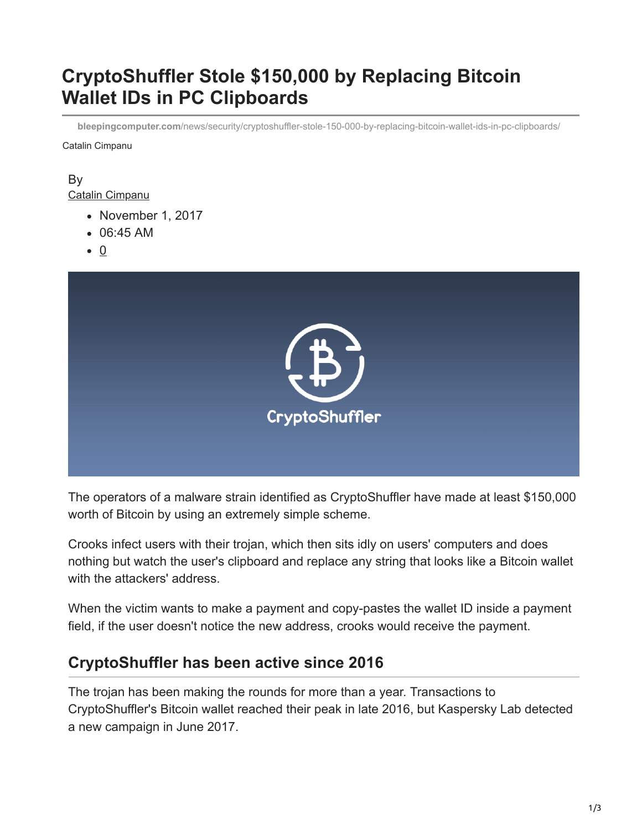# **CryptoShuffler Stole \$150,000 by Replacing Bitcoin Wallet IDs in PC Clipboards**

**bleepingcomputer.com**[/news/security/cryptoshuffler-stole-150-000-by-replacing-bitcoin-wallet-ids-in-pc-clipboards/](https://www.bleepingcomputer.com/news/security/cryptoshuffler-stole-150-000-by-replacing-bitcoin-wallet-ids-in-pc-clipboards/)

Catalin Cimpanu

#### By [Catalin Cimpanu](https://www.bleepingcomputer.com/author/catalin-cimpanu/)

- November 1, 2017
- 06:45 AM
- $\bullet$  0



The operators of a malware strain identified as CryptoShuffler have made at least \$150,000 worth of Bitcoin by using an extremely simple scheme.

Crooks infect users with their trojan, which then sits idly on users' computers and does nothing but watch the user's clipboard and replace any string that looks like a Bitcoin wallet with the attackers' address.

When the victim wants to make a payment and copy-pastes the wallet ID inside a payment field, if the user doesn't notice the new address, crooks would receive the payment.

# **CryptoShuffler has been active since 2016**

The trojan has been making the rounds for more than a year. Transactions to CryptoShuffler's Bitcoin wallet reached their peak in late 2016, but Kaspersky Lab detected a new campaign in June 2017.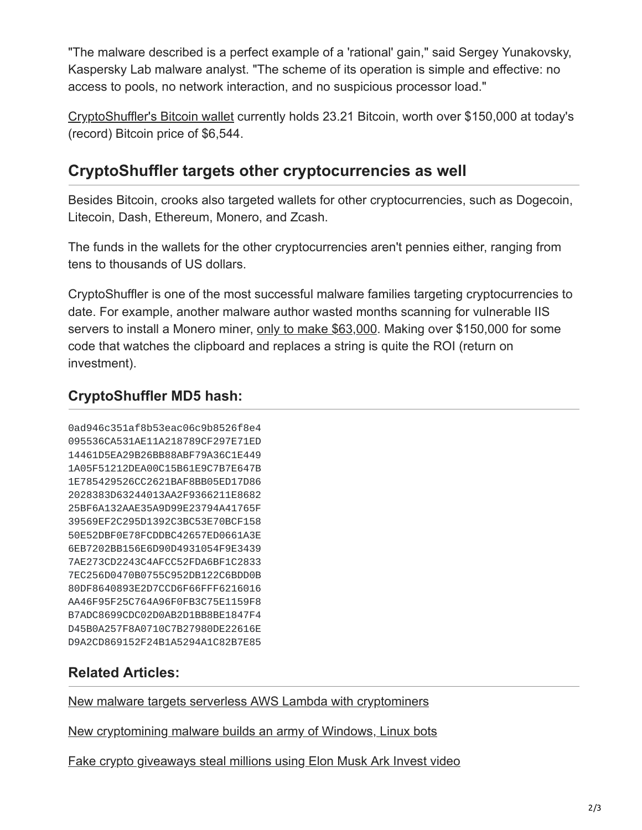"The malware described is a perfect example of a 'rational' gain," said Sergey Yunakovsky, Kaspersky Lab malware analyst. "The scheme of its operation is simple and effective: no access to pools, no network interaction, and no suspicious processor load."

[CryptoShuffler's Bitcoin wallet](https://blockchain.info/address/1v9UCfygQf3toN1vA5xyr7LhKmv9QWcwZ) currently holds 23.21 Bitcoin, worth over \$150,000 at today's (record) Bitcoin price of \$6,544.

## **CryptoShuffler targets other cryptocurrencies as well**

Besides Bitcoin, crooks also targeted wallets for other cryptocurrencies, such as Dogecoin, Litecoin, Dash, Ethereum, Monero, and Zcash.

The funds in the wallets for the other cryptocurrencies aren't pennies either, ranging from tens to thousands of US dollars.

CryptoShuffler is one of the most successful malware families targeting cryptocurrencies to date. For example, another malware author wasted months scanning for vulnerable IIS servers to install a Monero miner, [only to make \\$63,000.](https://www.bleepingcomputer.com/news/security/copy-pasting-malware-dev-made-63-000-from-mining-monero-on-iis-servers/) Making over \$150,000 for some code that watches the clipboard and replaces a string is quite the ROI (return on investment).

## **CryptoShuffler MD5 hash:**

0ad946c351af8b53eac06c9b8526f8e4 095536CA531AE11A218789CF297E71ED 14461D5EA29B26BB88ABF79A36C1E449 1A05F51212DEA00C15B61E9C7B7E647B 1E785429526CC2621BAF8BB05ED17D86 2028383D63244013AA2F9366211E8682 25BF6A132AAE35A9D99E23794A41765F 39569EF2C295D1392C3BC53E70BCF158 50E52DBF0E78FCDDBC42657ED0661A3E 6EB7202BB156E6D90D4931054F9E3439 7AE273CD2243C4AFCC52FDA6BF1C2833 7EC256D0470B0755C952DB122C6BDD0B 80DF8640893E2D7CCD6F66FFF6216016 AA46F95F25C764A96F0FB3C75E1159F8 B7ADC8699CDC02D0AB2D1BB8BE1847F4 D45B0A257F8A0710C7B27980DE22616E D9A2CD869152F24B1A5294A1C82B7E85

## **Related Articles:**

[New malware targets serverless AWS Lambda with cryptominers](https://www.bleepingcomputer.com/news/security/new-malware-targets-serverless-aws-lambda-with-cryptominers/)

[New cryptomining malware builds an army of Windows, Linux bots](https://www.bleepingcomputer.com/news/security/new-cryptomining-malware-builds-an-army-of-windows-linux-bots/)

[Fake crypto giveaways steal millions using Elon Musk Ark Invest video](https://www.bleepingcomputer.com/news/security/fake-crypto-giveaways-steal-millions-using-elon-musk-ark-invest-video/)